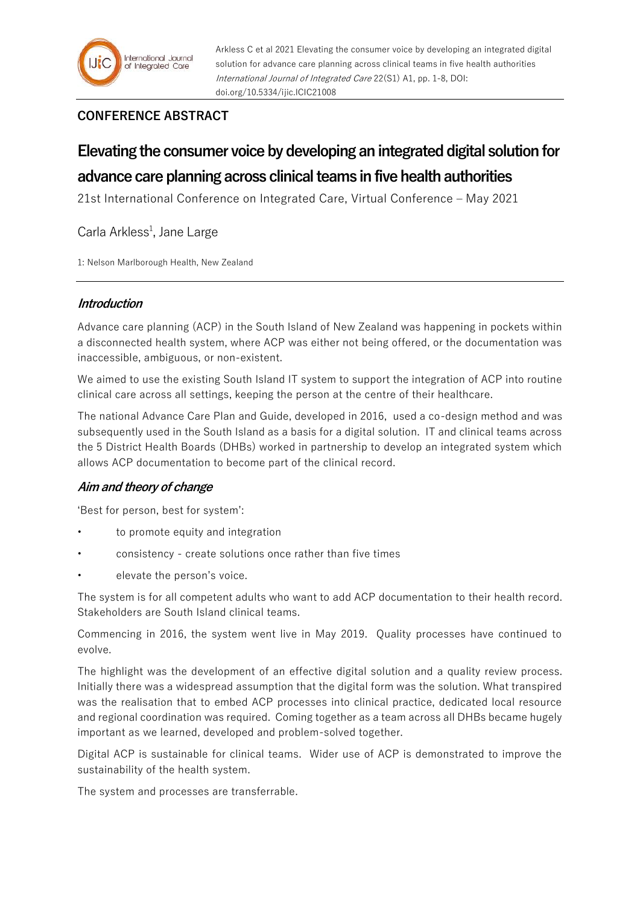

Arkless C et al 2021 Elevating the consumer voice by developing an integrated digital solution for advance care planning across clinical teams in five health authorities International Journal of Integrated Care 22(S1) A1, pp. 1-8, DOI: doi.org/10.5334/ijic.ICIC21008

## **CONFERENCE ABSTRACT**

# **Elevating the consumer voice by developing an integrated digital solution for advance care planning across clinical teams in five health authorities**

21st International Conference on Integrated Care, Virtual Conference – May 2021

Carla Arkless<sup>1</sup>, Jane Large

1: Nelson Marlborough Health, New Zealand

## **Introduction**

Advance care planning (ACP) in the South Island of New Zealand was happening in pockets within a disconnected health system, where ACP was either not being offered, or the documentation was inaccessible, ambiguous, or non-existent.

We aimed to use the existing South Island IT system to support the integration of ACP into routine clinical care across all settings, keeping the person at the centre of their healthcare.

The national Advance Care Plan and Guide, developed in 2016, used a co-design method and was subsequently used in the South Island as a basis for a digital solution. IT and clinical teams across the 5 District Health Boards (DHBs) worked in partnership to develop an integrated system which allows ACP documentation to become part of the clinical record.

## **Aim and theory of change**

'Best for person, best for system':

- to promote equity and integration
- consistency create solutions once rather than five times
- elevate the person's voice.

The system is for all competent adults who want to add ACP documentation to their health record. Stakeholders are South Island clinical teams.

Commencing in 2016, the system went live in May 2019. Quality processes have continued to evolve.

The highlight was the development of an effective digital solution and a quality review process. Initially there was a widespread assumption that the digital form was the solution. What transpired was the realisation that to embed ACP processes into clinical practice, dedicated local resource and regional coordination was required. Coming together as a team across all DHBs became hugely important as we learned, developed and problem-solved together.

Digital ACP is sustainable for clinical teams. Wider use of ACP is demonstrated to improve the sustainability of the health system.

The system and processes are transferrable.